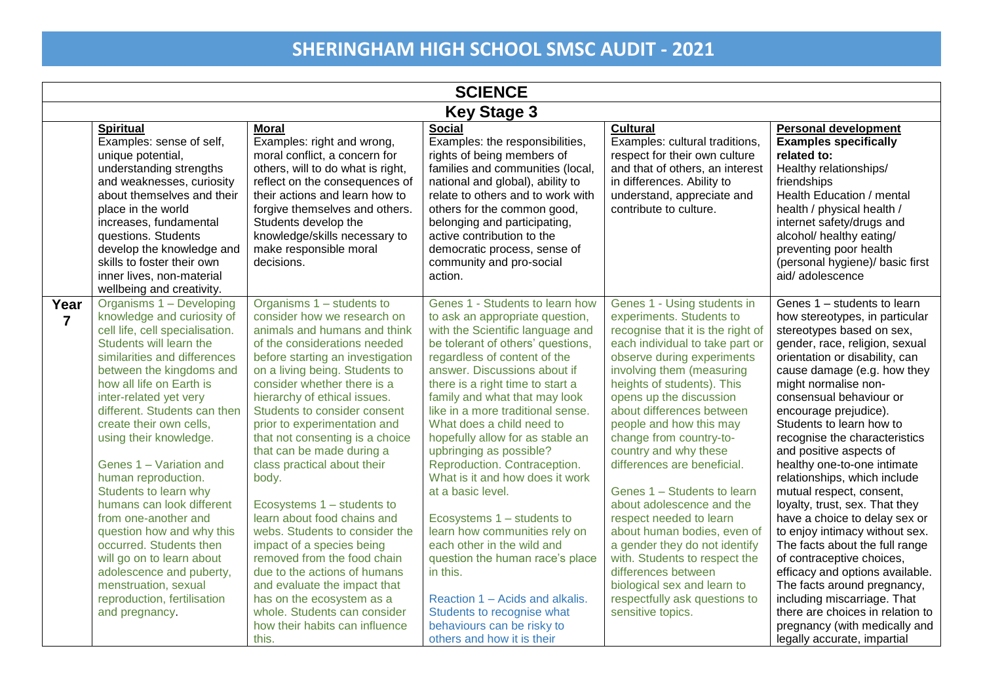|                        | <b>SCIENCE</b>                                                                                                                                                                                                                                                                                                                                                                                                                                                                                                                                                                                                                                        |                                                                                                                                                                                                                                                                                                                                                                                                                                                                                                                                                                                                                                                                                                                                                                          |                                                                                                                                                                                                                                                                                                                                                                                                                                                                                                                                                                                                                                                                                                                                                                                    |                                                                                                                                                                                                                                                                                                                                                                                                                                                                                                                                                                                                                                                                                                    |                                                                                                                                                                                                                                                                                                                                                                                                                                                                                                                                                                                                                                                                                                                                                                                                                                       |  |
|------------------------|-------------------------------------------------------------------------------------------------------------------------------------------------------------------------------------------------------------------------------------------------------------------------------------------------------------------------------------------------------------------------------------------------------------------------------------------------------------------------------------------------------------------------------------------------------------------------------------------------------------------------------------------------------|--------------------------------------------------------------------------------------------------------------------------------------------------------------------------------------------------------------------------------------------------------------------------------------------------------------------------------------------------------------------------------------------------------------------------------------------------------------------------------------------------------------------------------------------------------------------------------------------------------------------------------------------------------------------------------------------------------------------------------------------------------------------------|------------------------------------------------------------------------------------------------------------------------------------------------------------------------------------------------------------------------------------------------------------------------------------------------------------------------------------------------------------------------------------------------------------------------------------------------------------------------------------------------------------------------------------------------------------------------------------------------------------------------------------------------------------------------------------------------------------------------------------------------------------------------------------|----------------------------------------------------------------------------------------------------------------------------------------------------------------------------------------------------------------------------------------------------------------------------------------------------------------------------------------------------------------------------------------------------------------------------------------------------------------------------------------------------------------------------------------------------------------------------------------------------------------------------------------------------------------------------------------------------|---------------------------------------------------------------------------------------------------------------------------------------------------------------------------------------------------------------------------------------------------------------------------------------------------------------------------------------------------------------------------------------------------------------------------------------------------------------------------------------------------------------------------------------------------------------------------------------------------------------------------------------------------------------------------------------------------------------------------------------------------------------------------------------------------------------------------------------|--|
|                        |                                                                                                                                                                                                                                                                                                                                                                                                                                                                                                                                                                                                                                                       |                                                                                                                                                                                                                                                                                                                                                                                                                                                                                                                                                                                                                                                                                                                                                                          | <b>Key Stage 3</b>                                                                                                                                                                                                                                                                                                                                                                                                                                                                                                                                                                                                                                                                                                                                                                 |                                                                                                                                                                                                                                                                                                                                                                                                                                                                                                                                                                                                                                                                                                    |                                                                                                                                                                                                                                                                                                                                                                                                                                                                                                                                                                                                                                                                                                                                                                                                                                       |  |
|                        | <b>Spiritual</b><br>Examples: sense of self,<br>unique potential,<br>understanding strengths<br>and weaknesses, curiosity<br>about themselves and their<br>place in the world<br>increases, fundamental<br>questions. Students<br>develop the knowledge and<br>skills to foster their own<br>inner lives, non-material<br>wellbeing and creativity.                                                                                                                                                                                                                                                                                                   | <b>Moral</b><br>Examples: right and wrong,<br>moral conflict, a concern for<br>others, will to do what is right,<br>reflect on the consequences of<br>their actions and learn how to<br>forgive themselves and others.<br>Students develop the<br>knowledge/skills necessary to<br>make responsible moral<br>decisions.                                                                                                                                                                                                                                                                                                                                                                                                                                                  | <b>Social</b><br>Examples: the responsibilities,<br>rights of being members of<br>families and communities (local,<br>national and global), ability to<br>relate to others and to work with<br>others for the common good,<br>belonging and participating,<br>active contribution to the<br>democratic process, sense of<br>community and pro-social<br>action.                                                                                                                                                                                                                                                                                                                                                                                                                    | <b>Cultural</b><br>Examples: cultural traditions,<br>respect for their own culture<br>and that of others, an interest<br>in differences. Ability to<br>understand, appreciate and<br>contribute to culture.                                                                                                                                                                                                                                                                                                                                                                                                                                                                                        | Personal development<br><b>Examples specifically</b><br>related to:<br>Healthy relationships/<br>friendships<br>Health Education / mental<br>health / physical health /<br>internet safety/drugs and<br>alcohol/ healthy eating/<br>preventing poor health<br>(personal hygiene)/ basic first<br>aid/adolescence                                                                                                                                                                                                                                                                                                                                                                                                                                                                                                                      |  |
| Year<br>$\overline{7}$ | Organisms 1 - Developing<br>knowledge and curiosity of<br>cell life, cell specialisation.<br>Students will learn the<br>similarities and differences<br>between the kingdoms and<br>how all life on Earth is<br>inter-related yet very<br>different. Students can then<br>create their own cells,<br>using their knowledge.<br>Genes 1 - Variation and<br>human reproduction.<br>Students to learn why<br>humans can look different<br>from one-another and<br>question how and why this<br>occurred. Students then<br>will go on to learn about<br>adolescence and puberty,<br>menstruation, sexual<br>reproduction, fertilisation<br>and pregnancy. | Organisms 1 - students to<br>consider how we research on<br>animals and humans and think<br>of the considerations needed<br>before starting an investigation<br>on a living being. Students to<br>consider whether there is a<br>hierarchy of ethical issues.<br>Students to consider consent<br>prior to experimentation and<br>that not consenting is a choice<br>that can be made during a<br>class practical about their<br>body.<br>Ecosystems 1 - students to<br>learn about food chains and<br>webs. Students to consider the<br>impact of a species being<br>removed from the food chain<br>due to the actions of humans<br>and evaluate the impact that<br>has on the ecosystem as a<br>whole. Students can consider<br>how their habits can influence<br>this. | Genes 1 - Students to learn how<br>to ask an appropriate question,<br>with the Scientific language and<br>be tolerant of others' questions,<br>regardless of content of the<br>answer. Discussions about if<br>there is a right time to start a<br>family and what that may look<br>like in a more traditional sense.<br>What does a child need to<br>hopefully allow for as stable an<br>upbringing as possible?<br>Reproduction. Contraception.<br>What is it and how does it work<br>at a basic level.<br>Ecosystems 1 - students to<br>learn how communities rely on<br>each other in the wild and<br>question the human race's place<br>in this.<br>Reaction 1 - Acids and alkalis.<br>Students to recognise what<br>behaviours can be risky to<br>others and how it is their | Genes 1 - Using students in<br>experiments. Students to<br>recognise that it is the right of<br>each individual to take part or<br>observe during experiments<br>involving them (measuring<br>heights of students). This<br>opens up the discussion<br>about differences between<br>people and how this may<br>change from country-to-<br>country and why these<br>differences are beneficial.<br>Genes 1 - Students to learn<br>about adolescence and the<br>respect needed to learn<br>about human bodies, even of<br>a gender they do not identify<br>with. Students to respect the<br>differences between<br>biological sex and learn to<br>respectfully ask questions to<br>sensitive topics. | Genes 1 - students to learn<br>how stereotypes, in particular<br>stereotypes based on sex,<br>gender, race, religion, sexual<br>orientation or disability, can<br>cause damage (e.g. how they<br>might normalise non-<br>consensual behaviour or<br>encourage prejudice).<br>Students to learn how to<br>recognise the characteristics<br>and positive aspects of<br>healthy one-to-one intimate<br>relationships, which include<br>mutual respect, consent,<br>loyalty, trust, sex. That they<br>have a choice to delay sex or<br>to enjoy intimacy without sex.<br>The facts about the full range<br>of contraceptive choices,<br>efficacy and options available.<br>The facts around pregnancy,<br>including miscarriage. That<br>there are choices in relation to<br>pregnancy (with medically and<br>legally accurate, impartial |  |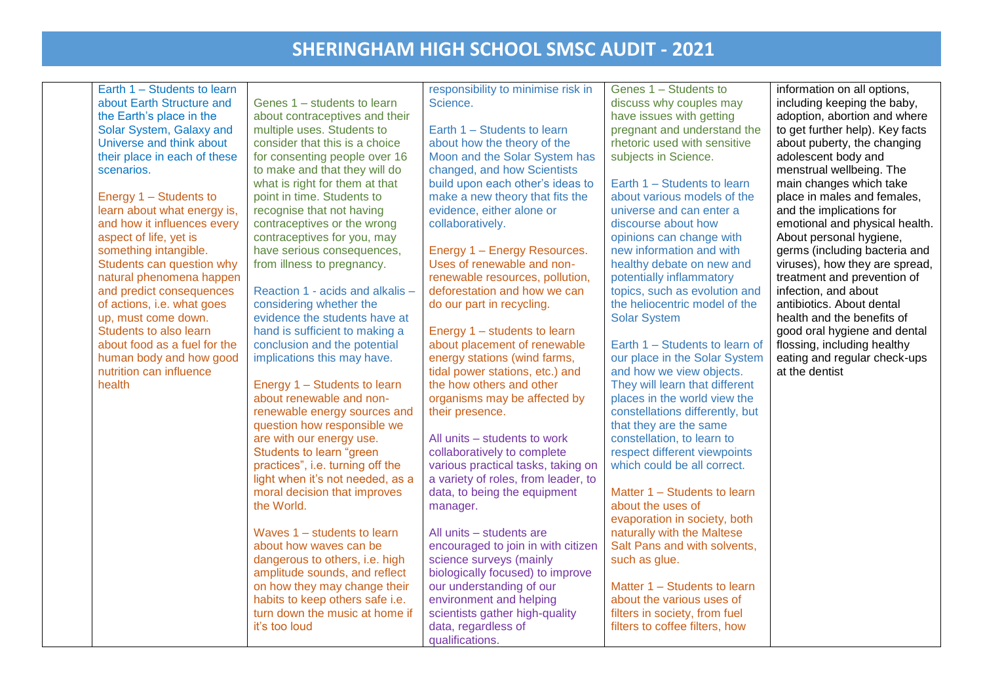| Earth 1 - Students to learn<br>about Earth Structure and | Genes 1 - students to learn                                     | responsibility to minimise risk in<br>Science.              | Genes 1 - Students to<br>discuss why couples may           | information on all options,<br>including keeping the baby, |
|----------------------------------------------------------|-----------------------------------------------------------------|-------------------------------------------------------------|------------------------------------------------------------|------------------------------------------------------------|
| the Earth's place in the                                 | about contraceptives and their                                  |                                                             | have issues with getting                                   | adoption, abortion and where                               |
| Solar System, Galaxy and                                 | multiple uses. Students to                                      | Earth 1 - Students to learn                                 | pregnant and understand the                                | to get further help). Key facts                            |
| Universe and think about                                 | consider that this is a choice                                  | about how the theory of the                                 | rhetoric used with sensitive                               | about puberty, the changing                                |
| their place in each of these                             | for consenting people over 16                                   | Moon and the Solar System has                               | subjects in Science.                                       | adolescent body and                                        |
| scenarios.                                               | to make and that they will do                                   | changed, and how Scientists                                 |                                                            | menstrual wellbeing. The                                   |
|                                                          | what is right for them at that                                  | build upon each other's ideas to                            | Earth 1 - Students to learn                                | main changes which take                                    |
| Energy 1 - Students to                                   | point in time. Students to                                      | make a new theory that fits the                             | about various models of the                                | place in males and females,                                |
| learn about what energy is,                              | recognise that not having                                       | evidence, either alone or                                   | universe and can enter a                                   | and the implications for                                   |
| and how it influences every                              | contraceptives or the wrong                                     | collaboratively.                                            | discourse about how                                        | emotional and physical health.                             |
| aspect of life, yet is                                   | contraceptives for you, may                                     |                                                             | opinions can change with                                   | About personal hygiene,                                    |
| something intangible.                                    | have serious consequences,                                      | Energy 1 - Energy Resources.                                | new information and with                                   | germs (including bacteria and                              |
| Students can question why                                | from illness to pregnancy.                                      | Uses of renewable and non-                                  | healthy debate on new and                                  | viruses), how they are spread,                             |
| natural phenomena happen                                 |                                                                 | renewable resources, pollution,                             | potentially inflammatory                                   | treatment and prevention of                                |
| and predict consequences                                 | Reaction 1 - acids and alkalis -                                | deforestation and how we can                                | topics, such as evolution and                              | infection, and about                                       |
| of actions, i.e. what goes                               | considering whether the                                         | do our part in recycling.                                   | the heliocentric model of the                              | antibiotics. About dental                                  |
| up, must come down.                                      | evidence the students have at                                   |                                                             | <b>Solar System</b>                                        | health and the benefits of                                 |
| Students to also learn                                   | hand is sufficient to making a                                  | Energy 1 - students to learn                                |                                                            | good oral hygiene and dental                               |
| about food as a fuel for the                             | conclusion and the potential                                    | about placement of renewable                                | Earth 1 - Students to learn of                             | flossing, including healthy                                |
| human body and how good                                  | implications this may have.                                     | energy stations (wind farms,                                | our place in the Solar System                              | eating and regular check-ups                               |
| nutrition can influence                                  |                                                                 | tidal power stations, etc.) and                             | and how we view objects.                                   | at the dentist                                             |
| health                                                   | Energy 1 - Students to learn                                    | the how others and other                                    | They will learn that different                             |                                                            |
|                                                          | about renewable and non-                                        | organisms may be affected by                                | places in the world view the                               |                                                            |
|                                                          | renewable energy sources and                                    | their presence.                                             | constellations differently, but                            |                                                            |
|                                                          | question how responsible we                                     |                                                             | that they are the same                                     |                                                            |
|                                                          | are with our energy use.                                        | All units - students to work                                | constellation, to learn to                                 |                                                            |
|                                                          | Students to learn "green                                        | collaboratively to complete                                 | respect different viewpoints                               |                                                            |
|                                                          | practices", i.e. turning off the                                | various practical tasks, taking on                          | which could be all correct.                                |                                                            |
|                                                          | light when it's not needed, as a                                | a variety of roles, from leader, to                         |                                                            |                                                            |
|                                                          | moral decision that improves                                    | data, to being the equipment                                | Matter 1 - Students to learn                               |                                                            |
|                                                          | the World.                                                      | manager.                                                    | about the uses of                                          |                                                            |
|                                                          |                                                                 |                                                             | evaporation in society, both                               |                                                            |
|                                                          | Waves 1 - students to learn<br>about how waves can be           | All units - students are                                    | naturally with the Maltese<br>Salt Pans and with solvents, |                                                            |
|                                                          |                                                                 | encouraged to join in with citizen                          |                                                            |                                                            |
|                                                          | dangerous to others, i.e. high<br>amplitude sounds, and reflect | science surveys (mainly<br>biologically focused) to improve | such as glue.                                              |                                                            |
|                                                          | on how they may change their                                    | our understanding of our                                    | Matter 1 - Students to learn                               |                                                            |
|                                                          | habits to keep others safe i.e.                                 | environment and helping                                     | about the various uses of                                  |                                                            |
|                                                          | turn down the music at home if                                  | scientists gather high-quality                              | filters in society, from fuel                              |                                                            |
|                                                          | it's too loud                                                   | data, regardless of                                         | filters to coffee filters, how                             |                                                            |
|                                                          |                                                                 | qualifications.                                             |                                                            |                                                            |
|                                                          |                                                                 |                                                             |                                                            |                                                            |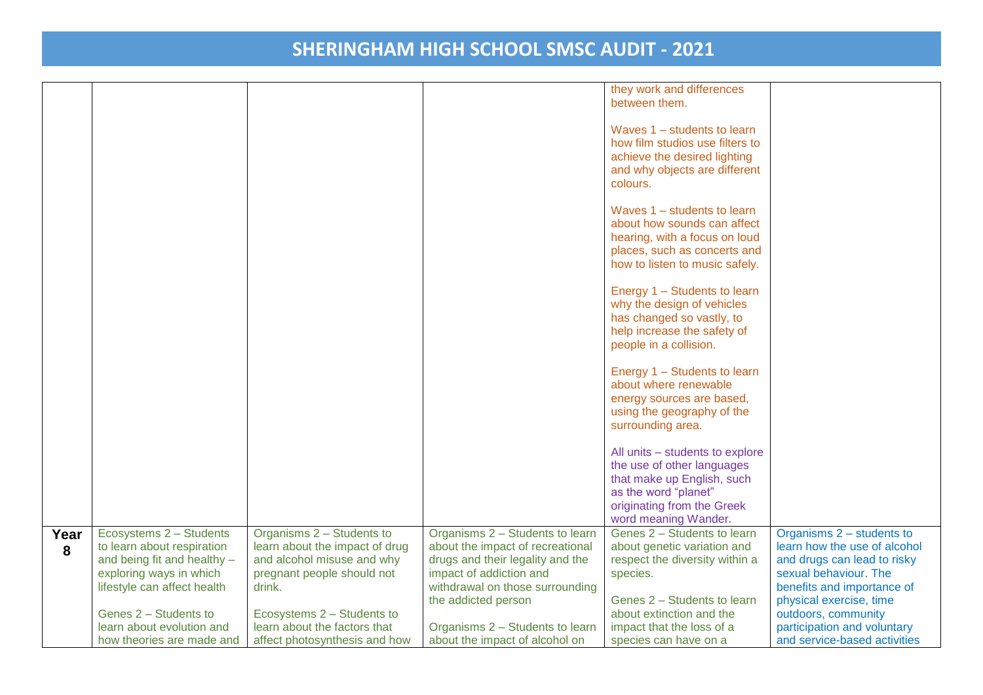|      |                             |                                |                                                        | they work and differences                                     |                                                |
|------|-----------------------------|--------------------------------|--------------------------------------------------------|---------------------------------------------------------------|------------------------------------------------|
|      |                             |                                |                                                        | between them.                                                 |                                                |
|      |                             |                                |                                                        | Waves 1 – students to learn                                   |                                                |
|      |                             |                                |                                                        | how film studios use filters to                               |                                                |
|      |                             |                                |                                                        | achieve the desired lighting                                  |                                                |
|      |                             |                                |                                                        | and why objects are different                                 |                                                |
|      |                             |                                |                                                        | colours.                                                      |                                                |
|      |                             |                                |                                                        |                                                               |                                                |
|      |                             |                                |                                                        | Waves 1 - students to learn                                   |                                                |
|      |                             |                                |                                                        | about how sounds can affect                                   |                                                |
|      |                             |                                |                                                        | hearing, with a focus on loud<br>places, such as concerts and |                                                |
|      |                             |                                |                                                        | how to listen to music safely.                                |                                                |
|      |                             |                                |                                                        |                                                               |                                                |
|      |                             |                                |                                                        | Energy 1 - Students to learn                                  |                                                |
|      |                             |                                |                                                        | why the design of vehicles                                    |                                                |
|      |                             |                                |                                                        | has changed so vastly, to                                     |                                                |
|      |                             |                                |                                                        | help increase the safety of<br>people in a collision.         |                                                |
|      |                             |                                |                                                        |                                                               |                                                |
|      |                             |                                |                                                        | Energy 1 - Students to learn                                  |                                                |
|      |                             |                                |                                                        | about where renewable                                         |                                                |
|      |                             |                                |                                                        | energy sources are based,                                     |                                                |
|      |                             |                                |                                                        | using the geography of the                                    |                                                |
|      |                             |                                |                                                        | surrounding area.                                             |                                                |
|      |                             |                                |                                                        | All units - students to explore                               |                                                |
|      |                             |                                |                                                        | the use of other languages                                    |                                                |
|      |                             |                                |                                                        | that make up English, such                                    |                                                |
|      |                             |                                |                                                        | as the word "planet"                                          |                                                |
|      |                             |                                |                                                        | originating from the Greek<br>word meaning Wander.            |                                                |
| Year | Ecosystems 2 - Students     | Organisms 2 - Students to      | Organisms 2 - Students to learn                        | Genes 2 - Students to learn                                   | Organisms 2 - students to                      |
| 8    | to learn about respiration  | learn about the impact of drug | about the impact of recreational                       | about genetic variation and                                   | learn how the use of alcohol                   |
|      | and being fit and healthy - | and alcohol misuse and why     | drugs and their legality and the                       | respect the diversity within a                                | and drugs can lead to risky                    |
|      | exploring ways in which     | pregnant people should not     | impact of addiction and                                | species.                                                      | sexual behaviour. The                          |
|      | lifestyle can affect health | drink.                         | withdrawal on those surrounding<br>the addicted person | Genes 2 - Students to learn                                   | benefits and importance of                     |
|      | Genes 2 - Students to       | Ecosystems 2 - Students to     |                                                        | about extinction and the                                      | physical exercise, time<br>outdoors, community |
|      | learn about evolution and   | learn about the factors that   | Organisms 2 - Students to learn                        | impact that the loss of a                                     | participation and voluntary                    |
|      | how theories are made and   | affect photosynthesis and how  | about the impact of alcohol on                         | species can have on a                                         | and service-based activities                   |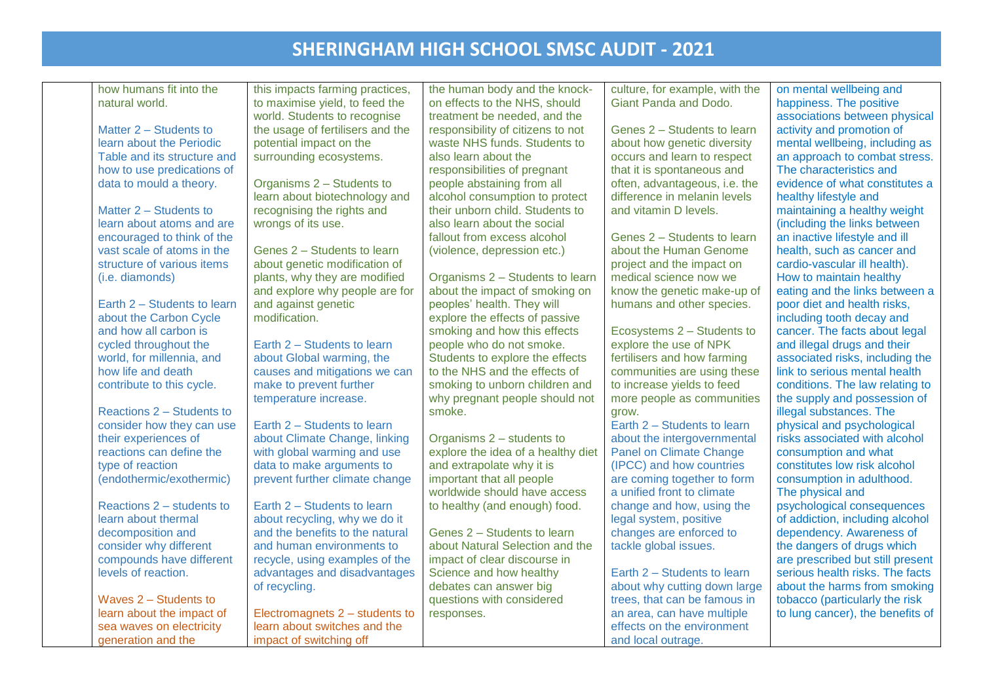| how humans fit into the     | this impacts farming practices,  | the human body and the knock-      | culture, for example, with the | on mental wellbeing and          |
|-----------------------------|----------------------------------|------------------------------------|--------------------------------|----------------------------------|
| natural world.              | to maximise yield, to feed the   | on effects to the NHS, should      | Giant Panda and Dodo.          | happiness. The positive          |
|                             | world. Students to recognise     | treatment be needed, and the       |                                | associations between physical    |
| Matter 2 - Students to      | the usage of fertilisers and the | responsibility of citizens to not  | Genes 2 - Students to learn    | activity and promotion of        |
| learn about the Periodic    | potential impact on the          | waste NHS funds. Students to       | about how genetic diversity    | mental wellbeing, including as   |
| Table and its structure and | surrounding ecosystems.          | also learn about the               | occurs and learn to respect    | an approach to combat stress.    |
| how to use predications of  |                                  | responsibilities of pregnant       | that it is spontaneous and     | The characteristics and          |
| data to mould a theory.     | Organisms 2 - Students to        | people abstaining from all         | often, advantageous, i.e. the  | evidence of what constitutes a   |
|                             | learn about biotechnology and    | alcohol consumption to protect     | difference in melanin levels   | healthy lifestyle and            |
| Matter 2 - Students to      | recognising the rights and       | their unborn child. Students to    | and vitamin D levels.          | maintaining a healthy weight     |
| learn about atoms and are   | wrongs of its use.               | also learn about the social        |                                | (including the links between     |
| encouraged to think of the  |                                  | fallout from excess alcohol        | Genes 2 - Students to learn    | an inactive lifestyle and ill    |
| vast scale of atoms in the  | Genes 2 - Students to learn      | (violence, depression etc.)        | about the Human Genome         | health, such as cancer and       |
| structure of various items  | about genetic modification of    |                                    | project and the impact on      | cardio-vascular ill health).     |
| (i.e. diamonds)             | plants, why they are modified    | Organisms 2 - Students to learn    | medical science now we         | How to maintain healthy          |
|                             | and explore why people are for   | about the impact of smoking on     | know the genetic make-up of    | eating and the links between a   |
| Earth 2 - Students to learn | and against genetic              | peoples' health. They will         | humans and other species.      | poor diet and health risks,      |
| about the Carbon Cycle      | modification.                    | explore the effects of passive     |                                | including tooth decay and        |
| and how all carbon is       |                                  | smoking and how this effects       | Ecosystems 2 - Students to     | cancer. The facts about legal    |
| cycled throughout the       | Earth 2 - Students to learn      | people who do not smoke.           | explore the use of NPK         | and illegal drugs and their      |
| world, for millennia, and   | about Global warming, the        | Students to explore the effects    | fertilisers and how farming    | associated risks, including the  |
| how life and death          | causes and mitigations we can    | to the NHS and the effects of      | communities are using these    | link to serious mental health    |
| contribute to this cycle.   | make to prevent further          | smoking to unborn children and     | to increase yields to feed     | conditions. The law relating to  |
|                             | temperature increase.            | why pregnant people should not     | more people as communities     | the supply and possession of     |
| Reactions 2 – Students to   |                                  | smoke.                             | grow.                          | illegal substances. The          |
| consider how they can use   | Earth 2 - Students to learn      |                                    | Earth 2 - Students to learn    | physical and psychological       |
| their experiences of        | about Climate Change, linking    | Organisms 2 - students to          | about the intergovernmental    | risks associated with alcohol    |
| reactions can define the    | with global warming and use      | explore the idea of a healthy diet | <b>Panel on Climate Change</b> | consumption and what             |
| type of reaction            | data to make arguments to        | and extrapolate why it is          | (IPCC) and how countries       | constitutes low risk alcohol     |
| (endothermic/exothermic)    | prevent further climate change   | important that all people          | are coming together to form    | consumption in adulthood.        |
|                             |                                  | worldwide should have access       | a unified front to climate     | The physical and                 |
| Reactions 2 – students to   | Earth 2 - Students to learn      | to healthy (and enough) food.      | change and how, using the      | psychological consequences       |
| learn about thermal         | about recycling, why we do it    |                                    | legal system, positive         | of addiction, including alcohol  |
| decomposition and           | and the benefits to the natural  | Genes 2 - Students to learn        | changes are enforced to        | dependency. Awareness of         |
| consider why different      | and human environments to        | about Natural Selection and the    | tackle global issues.          | the dangers of drugs which       |
| compounds have different    | recycle, using examples of the   | impact of clear discourse in       |                                | are prescribed but still present |
| levels of reaction.         | advantages and disadvantages     | Science and how healthy            | Earth 2 - Students to learn    | serious health risks. The facts  |
|                             | of recycling.                    | debates can answer big             | about why cutting down large   | about the harms from smoking     |
| Waves 2 - Students to       |                                  | questions with considered          | trees, that can be famous in   | tobacco (particularly the risk   |
| learn about the impact of   | Electromagnets 2 - students to   | responses.                         | an area, can have multiple     | to lung cancer), the benefits of |
| sea waves on electricity    | learn about switches and the     |                                    | effects on the environment     |                                  |
| generation and the          | impact of switching off          |                                    | and local outrage.             |                                  |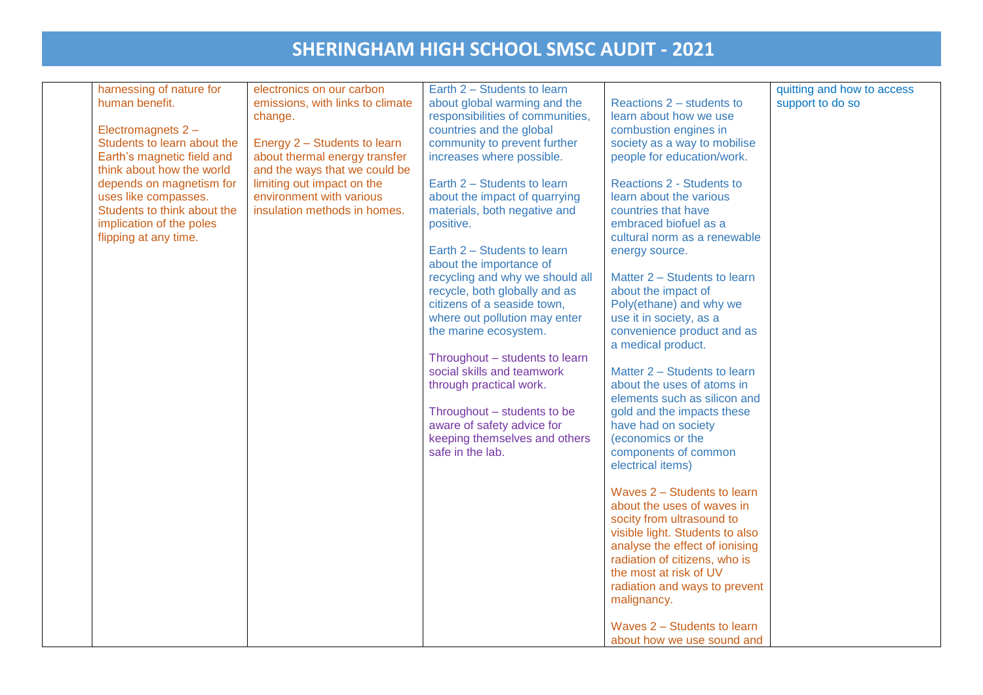| harnessing of nature for                                                                                                                                                                                                                                               | electronics on our carbon                                                                                                                                                                                                               | Earth 2 - Students to learn                                                                                                                                                                                                                                                                                                                                                                                                                                                                                                                                                                                                                                                                                |                                                                                                                                                                                                                                                                                                                                                                                                                                                                                                                                                                                                                                                                                                                                                                                                                                                                                                                                                                                                                                   | quitting and how to access |
|------------------------------------------------------------------------------------------------------------------------------------------------------------------------------------------------------------------------------------------------------------------------|-----------------------------------------------------------------------------------------------------------------------------------------------------------------------------------------------------------------------------------------|------------------------------------------------------------------------------------------------------------------------------------------------------------------------------------------------------------------------------------------------------------------------------------------------------------------------------------------------------------------------------------------------------------------------------------------------------------------------------------------------------------------------------------------------------------------------------------------------------------------------------------------------------------------------------------------------------------|-----------------------------------------------------------------------------------------------------------------------------------------------------------------------------------------------------------------------------------------------------------------------------------------------------------------------------------------------------------------------------------------------------------------------------------------------------------------------------------------------------------------------------------------------------------------------------------------------------------------------------------------------------------------------------------------------------------------------------------------------------------------------------------------------------------------------------------------------------------------------------------------------------------------------------------------------------------------------------------------------------------------------------------|----------------------------|
| human benefit.<br>Electromagnets 2 -<br>Students to learn about the<br>Earth's magnetic field and<br>think about how the world<br>depends on magnetism for<br>uses like compasses.<br>Students to think about the<br>implication of the poles<br>flipping at any time. | emissions, with links to climate<br>change.<br>Energy 2 - Students to learn<br>about thermal energy transfer<br>and the ways that we could be<br>limiting out impact on the<br>environment with various<br>insulation methods in homes. | about global warming and the<br>responsibilities of communities,<br>countries and the global<br>community to prevent further<br>increases where possible.<br>Earth 2 - Students to learn<br>about the impact of quarrying<br>materials, both negative and<br>positive.<br>Earth 2 - Students to learn<br>about the importance of<br>recycling and why we should all<br>recycle, both globally and as<br>citizens of a seaside town,<br>where out pollution may enter<br>the marine ecosystem.<br>Throughout - students to learn<br>social skills and teamwork<br>through practical work.<br>Throughout - students to be<br>aware of safety advice for<br>keeping themselves and others<br>safe in the lab. | Reactions 2 – students to<br>learn about how we use<br>combustion engines in<br>society as a way to mobilise<br>people for education/work.<br>Reactions 2 - Students to<br>learn about the various<br>countries that have<br>embraced biofuel as a<br>cultural norm as a renewable<br>energy source.<br>Matter 2 - Students to learn<br>about the impact of<br>Poly(ethane) and why we<br>use it in society, as a<br>convenience product and as<br>a medical product.<br>Matter 2 - Students to learn<br>about the uses of atoms in<br>elements such as silicon and<br>gold and the impacts these<br>have had on society<br>(economics or the<br>components of common<br>electrical items)<br>Waves 2 - Students to learn<br>about the uses of waves in<br>socity from ultrasound to<br>visible light. Students to also<br>analyse the effect of ionising<br>radiation of citizens, who is<br>the most at risk of UV<br>radiation and ways to prevent<br>malignancy.<br>Waves 2 - Students to learn<br>about how we use sound and | support to do so           |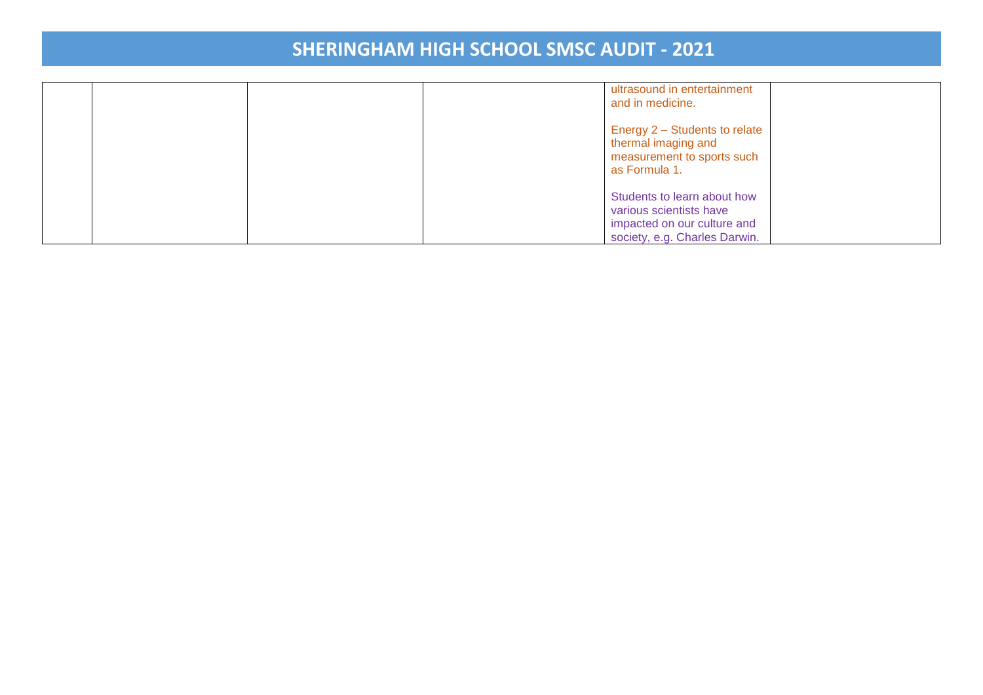|  |  | ultrasound in entertainment<br>and in medicine.                                                                        |  |
|--|--|------------------------------------------------------------------------------------------------------------------------|--|
|  |  | Energy 2 - Students to relate<br>thermal imaging and<br>measurement to sports such<br>as Formula 1.                    |  |
|  |  | Students to learn about how<br>various scientists have<br>impacted on our culture and<br>society, e.g. Charles Darwin. |  |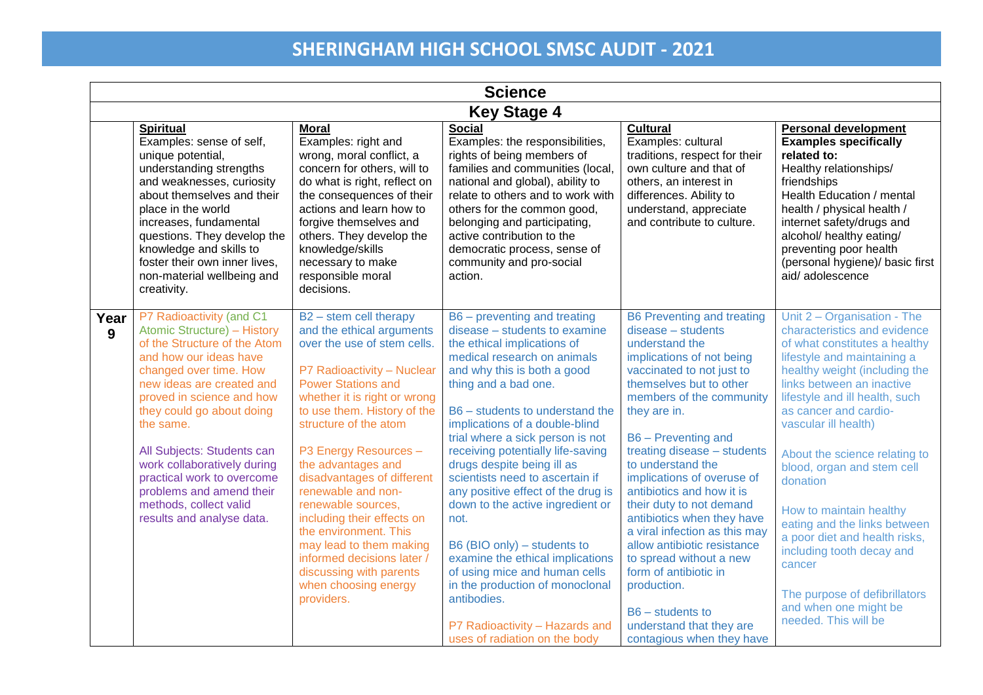|           | <b>Science</b>                                                                                                                                                                                                                                                                                                                                                                                                                |                                                                                                                                                                                                                                                                                                                                                                                                                                                                                                                                                   |                                                                                                                                                                                                                                                                                                                                                                                                                                                                                                                                                                                                                                                                                                              |                                                                                                                                                                                                                                                                                                                                                                                                                                                                                                                                                                                                                                |                                                                                                                                                                                                                                                                                                                                                                                                                                                                                                                                                                              |  |  |  |
|-----------|-------------------------------------------------------------------------------------------------------------------------------------------------------------------------------------------------------------------------------------------------------------------------------------------------------------------------------------------------------------------------------------------------------------------------------|---------------------------------------------------------------------------------------------------------------------------------------------------------------------------------------------------------------------------------------------------------------------------------------------------------------------------------------------------------------------------------------------------------------------------------------------------------------------------------------------------------------------------------------------------|--------------------------------------------------------------------------------------------------------------------------------------------------------------------------------------------------------------------------------------------------------------------------------------------------------------------------------------------------------------------------------------------------------------------------------------------------------------------------------------------------------------------------------------------------------------------------------------------------------------------------------------------------------------------------------------------------------------|--------------------------------------------------------------------------------------------------------------------------------------------------------------------------------------------------------------------------------------------------------------------------------------------------------------------------------------------------------------------------------------------------------------------------------------------------------------------------------------------------------------------------------------------------------------------------------------------------------------------------------|------------------------------------------------------------------------------------------------------------------------------------------------------------------------------------------------------------------------------------------------------------------------------------------------------------------------------------------------------------------------------------------------------------------------------------------------------------------------------------------------------------------------------------------------------------------------------|--|--|--|
|           | <b>Key Stage 4</b>                                                                                                                                                                                                                                                                                                                                                                                                            |                                                                                                                                                                                                                                                                                                                                                                                                                                                                                                                                                   |                                                                                                                                                                                                                                                                                                                                                                                                                                                                                                                                                                                                                                                                                                              |                                                                                                                                                                                                                                                                                                                                                                                                                                                                                                                                                                                                                                |                                                                                                                                                                                                                                                                                                                                                                                                                                                                                                                                                                              |  |  |  |
|           | <b>Spiritual</b><br>Examples: sense of self,<br>unique potential,<br>understanding strengths<br>and weaknesses, curiosity<br>about themselves and their<br>place in the world<br>increases, fundamental<br>questions. They develop the<br>knowledge and skills to<br>foster their own inner lives,<br>non-material wellbeing and<br>creativity.                                                                               | <b>Moral</b><br>Examples: right and<br>wrong, moral conflict, a<br>concern for others, will to<br>do what is right, reflect on<br>the consequences of their<br>actions and learn how to<br>forgive themselves and<br>others. They develop the<br>knowledge/skills<br>necessary to make<br>responsible moral<br>decisions.                                                                                                                                                                                                                         | <b>Social</b><br>Examples: the responsibilities,<br>rights of being members of<br>families and communities (local,<br>national and global), ability to<br>relate to others and to work with<br>others for the common good,<br>belonging and participating,<br>active contribution to the<br>democratic process, sense of<br>community and pro-social<br>action.                                                                                                                                                                                                                                                                                                                                              | <b>Cultural</b><br>Examples: cultural<br>traditions, respect for their<br>own culture and that of<br>others, an interest in<br>differences. Ability to<br>understand, appreciate<br>and contribute to culture.                                                                                                                                                                                                                                                                                                                                                                                                                 | <b>Personal development</b><br><b>Examples specifically</b><br>related to:<br>Healthy relationships/<br>friendships<br>Health Education / mental<br>health / physical health /<br>internet safety/drugs and<br>alcohol/ healthy eating/<br>preventing poor health<br>(personal hygiene)/ basic first<br>aid/adolescence                                                                                                                                                                                                                                                      |  |  |  |
| Year<br>9 | P7 Radioactivity (and C1<br>Atomic Structure) - History<br>of the Structure of the Atom<br>and how our ideas have<br>changed over time. How<br>new ideas are created and<br>proved in science and how<br>they could go about doing<br>the same.<br>All Subjects: Students can<br>work collaboratively during<br>practical work to overcome<br>problems and amend their<br>methods, collect valid<br>results and analyse data. | $B2 -$ stem cell therapy<br>and the ethical arguments<br>over the use of stem cells.<br>P7 Radioactivity - Nuclear<br><b>Power Stations and</b><br>whether it is right or wrong<br>to use them. History of the<br>structure of the atom<br>P3 Energy Resources -<br>the advantages and<br>disadvantages of different<br>renewable and non-<br>renewable sources,<br>including their effects on<br>the environment. This<br>may lead to them making<br>informed decisions later /<br>discussing with parents<br>when choosing energy<br>providers. | B6 – preventing and treating<br>disease - students to examine<br>the ethical implications of<br>medical research on animals<br>and why this is both a good<br>thing and a bad one.<br>B6 - students to understand the<br>implications of a double-blind<br>trial where a sick person is not<br>receiving potentially life-saving<br>drugs despite being ill as<br>scientists need to ascertain if<br>any positive effect of the drug is<br>down to the active ingredient or<br>not.<br>B6 (BIO only) – students to<br>examine the ethical implications<br>of using mice and human cells<br>in the production of monoclonal<br>antibodies.<br>P7 Radioactivity - Hazards and<br>uses of radiation on the body | <b>B6 Preventing and treating</b><br>$disease - students$<br>understand the<br>implications of not being<br>vaccinated to not just to<br>themselves but to other<br>members of the community<br>they are in.<br>B6 - Preventing and<br>treating disease - students<br>to understand the<br>implications of overuse of<br>antibiotics and how it is<br>their duty to not demand<br>antibiotics when they have<br>a viral infection as this may<br>allow antibiotic resistance<br>to spread without a new<br>form of antibiotic in<br>production.<br>$B6 - students to$<br>understand that they are<br>contagious when they have | Unit 2 - Organisation - The<br>characteristics and evidence<br>of what constitutes a healthy<br>lifestyle and maintaining a<br>healthy weight (including the<br>links between an inactive<br>lifestyle and ill health, such<br>as cancer and cardio-<br>vascular ill health)<br>About the science relating to<br>blood, organ and stem cell<br>donation<br>How to maintain healthy<br>eating and the links between<br>a poor diet and health risks,<br>including tooth decay and<br>cancer<br>The purpose of defibrillators<br>and when one might be<br>needed. This will be |  |  |  |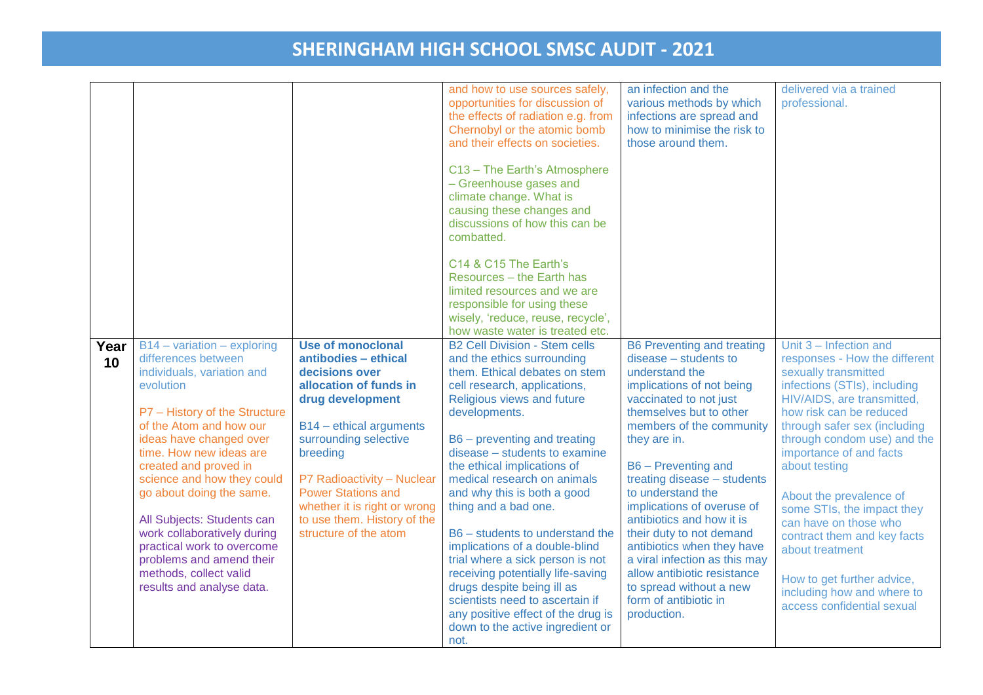|            |                                                                                                                                                                                                                                                                                                                                                                                                                                                                                    |                                                                                                                                                                                                                                                                                                                                     | and how to use sources safely,<br>opportunities for discussion of<br>the effects of radiation e.g. from<br>Chernobyl or the atomic bomb<br>and their effects on societies.<br>C13 - The Earth's Atmosphere<br>- Greenhouse gases and                                                                                                                                                                                                                                                                                                                                                                                                                                      | an infection and the<br>various methods by which<br>infections are spread and<br>how to minimise the risk to<br>those around them.                                                                                                                                                                                                                                                                                                                                                                                                            | delivered via a trained<br>professional.                                                                                                                                                                                                                                                                                                                                                                                                                                                                          |
|------------|------------------------------------------------------------------------------------------------------------------------------------------------------------------------------------------------------------------------------------------------------------------------------------------------------------------------------------------------------------------------------------------------------------------------------------------------------------------------------------|-------------------------------------------------------------------------------------------------------------------------------------------------------------------------------------------------------------------------------------------------------------------------------------------------------------------------------------|---------------------------------------------------------------------------------------------------------------------------------------------------------------------------------------------------------------------------------------------------------------------------------------------------------------------------------------------------------------------------------------------------------------------------------------------------------------------------------------------------------------------------------------------------------------------------------------------------------------------------------------------------------------------------|-----------------------------------------------------------------------------------------------------------------------------------------------------------------------------------------------------------------------------------------------------------------------------------------------------------------------------------------------------------------------------------------------------------------------------------------------------------------------------------------------------------------------------------------------|-------------------------------------------------------------------------------------------------------------------------------------------------------------------------------------------------------------------------------------------------------------------------------------------------------------------------------------------------------------------------------------------------------------------------------------------------------------------------------------------------------------------|
|            |                                                                                                                                                                                                                                                                                                                                                                                                                                                                                    |                                                                                                                                                                                                                                                                                                                                     | climate change. What is<br>causing these changes and<br>discussions of how this can be<br>combatted.                                                                                                                                                                                                                                                                                                                                                                                                                                                                                                                                                                      |                                                                                                                                                                                                                                                                                                                                                                                                                                                                                                                                               |                                                                                                                                                                                                                                                                                                                                                                                                                                                                                                                   |
|            |                                                                                                                                                                                                                                                                                                                                                                                                                                                                                    |                                                                                                                                                                                                                                                                                                                                     | C14 & C15 The Earth's<br>Resources - the Earth has<br>limited resources and we are<br>responsible for using these<br>wisely, 'reduce, reuse, recycle',<br>how waste water is treated etc.                                                                                                                                                                                                                                                                                                                                                                                                                                                                                 |                                                                                                                                                                                                                                                                                                                                                                                                                                                                                                                                               |                                                                                                                                                                                                                                                                                                                                                                                                                                                                                                                   |
| Year<br>10 | $B14 - variation - exploring$<br>differences between<br>individuals, variation and<br>evolution<br>P7 - History of the Structure<br>of the Atom and how our<br>ideas have changed over<br>time. How new ideas are<br>created and proved in<br>science and how they could<br>go about doing the same.<br>All Subjects: Students can<br>work collaboratively during<br>practical work to overcome<br>problems and amend their<br>methods, collect valid<br>results and analyse data. | <b>Use of monoclonal</b><br>antibodies - ethical<br>decisions over<br>allocation of funds in<br>drug development<br>B14 - ethical arguments<br>surrounding selective<br>breeding<br>P7 Radioactivity - Nuclear<br><b>Power Stations and</b><br>whether it is right or wrong<br>to use them. History of the<br>structure of the atom | <b>B2 Cell Division - Stem cells</b><br>and the ethics surrounding<br>them. Ethical debates on stem<br>cell research, applications,<br>Religious views and future<br>developments.<br>B6 – preventing and treating<br>disease - students to examine<br>the ethical implications of<br>medical research on animals<br>and why this is both a good<br>thing and a bad one.<br>B6 - students to understand the<br>implications of a double-blind<br>trial where a sick person is not<br>receiving potentially life-saving<br>drugs despite being ill as<br>scientists need to ascertain if<br>any positive effect of the drug is<br>down to the active ingredient or<br>not. | <b>B6 Preventing and treating</b><br>disease - students to<br>understand the<br>implications of not being<br>vaccinated to not just<br>themselves but to other<br>members of the community<br>they are in.<br>B6 - Preventing and<br>treating disease - students<br>to understand the<br>implications of overuse of<br>antibiotics and how it is<br>their duty to not demand<br>antibiotics when they have<br>a viral infection as this may<br>allow antibiotic resistance<br>to spread without a new<br>form of antibiotic in<br>production. | Unit 3 - Infection and<br>responses - How the different<br>sexually transmitted<br>infections (STIs), including<br>HIV/AIDS, are transmitted,<br>how risk can be reduced<br>through safer sex (including<br>through condom use) and the<br>importance of and facts<br>about testing<br>About the prevalence of<br>some STIs, the impact they<br>can have on those who<br>contract them and key facts<br>about treatment<br>How to get further advice,<br>including how and where to<br>access confidential sexual |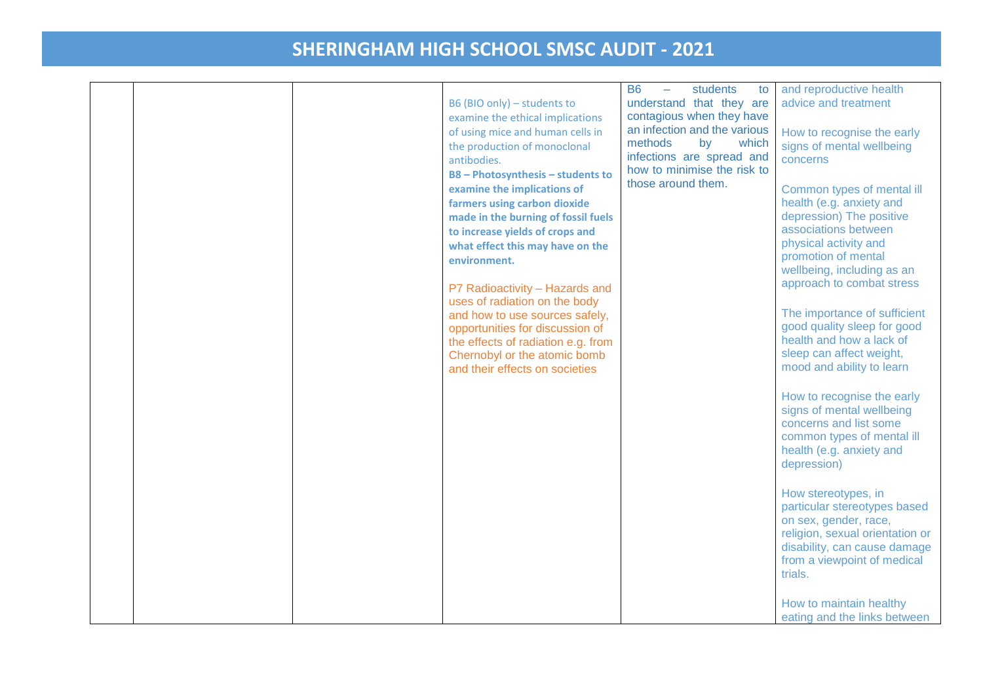|  |  | B6 (BIO only) - students to<br>examine the ethical implications<br>of using mice and human cells in<br>the production of monoclonal<br>antibodies.<br><b>B8-Photosynthesis-students to</b><br>examine the implications of<br>farmers using carbon dioxide<br>made in the burning of fossil fuels<br>to increase yields of crops and<br>what effect this may have on the<br>environment.<br>P7 Radioactivity - Hazards and<br>uses of radiation on the body<br>and how to use sources safely,<br>opportunities for discussion of<br>the effects of radiation e.g. from<br>Chernobyl or the atomic bomb<br>and their effects on societies | <b>B6</b><br>students<br>to<br>understand that they are<br>contagious when they have<br>an infection and the various<br>methods<br>by<br>which<br>infections are spread and<br>how to minimise the risk to<br>those around them. | and reproductive health<br>advice and treatment<br>How to recognise the early<br>signs of mental wellbeing<br>concerns<br>Common types of mental ill<br>health (e.g. anxiety and<br>depression) The positive<br>associations between<br>physical activity and<br>promotion of mental<br>wellbeing, including as an<br>approach to combat stress<br>The importance of sufficient<br>good quality sleep for good<br>health and how a lack of<br>sleep can affect weight,<br>mood and ability to learn<br>How to recognise the early<br>signs of mental wellbeing<br>concerns and list some<br>common types of mental ill<br>health (e.g. anxiety and<br>depression)<br>How stereotypes, in<br>particular stereotypes based<br>on sex, gender, race,<br>religion, sexual orientation or<br>disability, can cause damage<br>from a viewpoint of medical<br>trials. |
|--|--|-----------------------------------------------------------------------------------------------------------------------------------------------------------------------------------------------------------------------------------------------------------------------------------------------------------------------------------------------------------------------------------------------------------------------------------------------------------------------------------------------------------------------------------------------------------------------------------------------------------------------------------------|----------------------------------------------------------------------------------------------------------------------------------------------------------------------------------------------------------------------------------|----------------------------------------------------------------------------------------------------------------------------------------------------------------------------------------------------------------------------------------------------------------------------------------------------------------------------------------------------------------------------------------------------------------------------------------------------------------------------------------------------------------------------------------------------------------------------------------------------------------------------------------------------------------------------------------------------------------------------------------------------------------------------------------------------------------------------------------------------------------|
|  |  |                                                                                                                                                                                                                                                                                                                                                                                                                                                                                                                                                                                                                                         |                                                                                                                                                                                                                                  | How to maintain healthy                                                                                                                                                                                                                                                                                                                                                                                                                                                                                                                                                                                                                                                                                                                                                                                                                                        |
|  |  |                                                                                                                                                                                                                                                                                                                                                                                                                                                                                                                                                                                                                                         |                                                                                                                                                                                                                                  | eating and the links between                                                                                                                                                                                                                                                                                                                                                                                                                                                                                                                                                                                                                                                                                                                                                                                                                                   |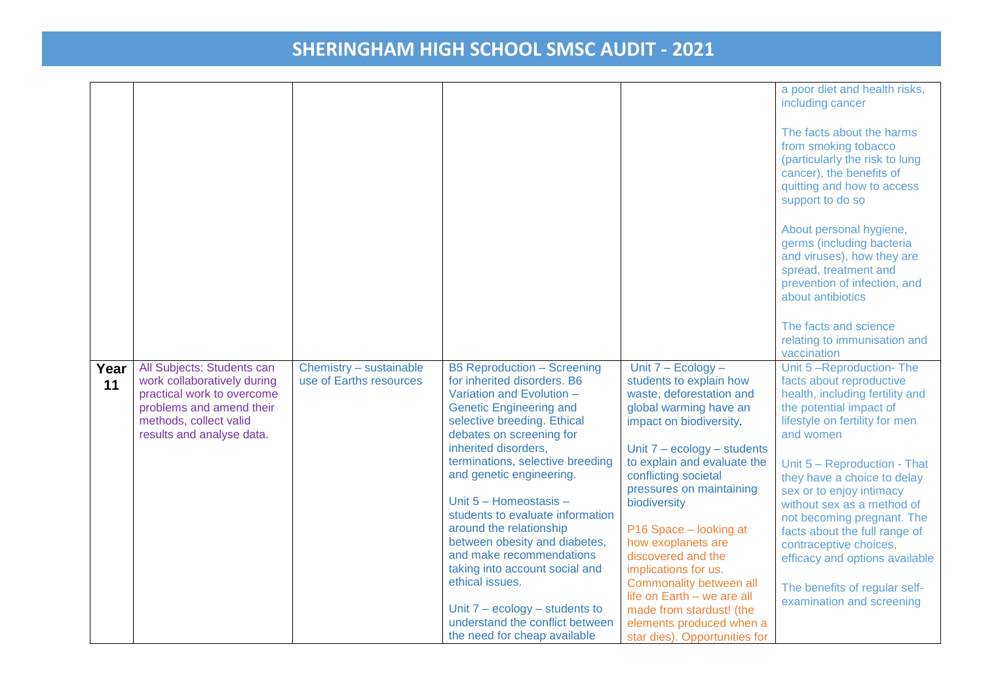|      |                                                     |                         |                                                                 |                                                           | a poor diet and health risks,<br>including cancer          |
|------|-----------------------------------------------------|-------------------------|-----------------------------------------------------------------|-----------------------------------------------------------|------------------------------------------------------------|
|      |                                                     |                         |                                                                 |                                                           |                                                            |
|      |                                                     |                         |                                                                 |                                                           | The facts about the harms                                  |
|      |                                                     |                         |                                                                 |                                                           | from smoking tobacco                                       |
|      |                                                     |                         |                                                                 |                                                           | (particularly the risk to lung                             |
|      |                                                     |                         |                                                                 |                                                           | cancer), the benefits of                                   |
|      |                                                     |                         |                                                                 |                                                           | quitting and how to access<br>support to do so             |
|      |                                                     |                         |                                                                 |                                                           |                                                            |
|      |                                                     |                         |                                                                 |                                                           | About personal hygiene,                                    |
|      |                                                     |                         |                                                                 |                                                           | germs (including bacteria                                  |
|      |                                                     |                         |                                                                 |                                                           | and viruses), how they are                                 |
|      |                                                     |                         |                                                                 |                                                           | spread, treatment and<br>prevention of infection, and      |
|      |                                                     |                         |                                                                 |                                                           | about antibiotics                                          |
|      |                                                     |                         |                                                                 |                                                           |                                                            |
|      |                                                     |                         |                                                                 |                                                           | The facts and science                                      |
|      |                                                     |                         |                                                                 |                                                           | relating to immunisation and                               |
| Year | All Subjects: Students can                          | Chemistry - sustainable | <b>B5 Reproduction - Screening</b>                              | Unit 7 - Ecology -                                        | vaccination<br>Unit 5-Reproduction-The                     |
| 11   | work collaboratively during                         | use of Earths resources | for inherited disorders. B6                                     | students to explain how                                   | facts about reproductive                                   |
|      | practical work to overcome                          |                         | Variation and Evolution -                                       | waste, deforestation and                                  | health, including fertility and                            |
|      | problems and amend their                            |                         | <b>Genetic Engineering and</b>                                  | global warming have an                                    | the potential impact of                                    |
|      | methods, collect valid<br>results and analyse data. |                         | selective breeding. Ethical<br>debates on screening for         | impact on biodiversity                                    | lifestyle on fertility for men<br>and women                |
|      |                                                     |                         | inherited disorders,                                            | Unit $7 - ecology - students$                             |                                                            |
|      |                                                     |                         | terminations, selective breeding                                | to explain and evaluate the                               | Unit 5 - Reproduction - That                               |
|      |                                                     |                         | and genetic engineering.                                        | conflicting societal                                      | they have a choice to delay                                |
|      |                                                     |                         | Unit 5 - Homeostasis -                                          | pressures on maintaining<br>biodiversity                  | sex or to enjoy intimacy                                   |
|      |                                                     |                         | students to evaluate information                                |                                                           | without sex as a method of<br>not becoming pregnant. The   |
|      |                                                     |                         | around the relationship                                         | P16 Space - looking at                                    | facts about the full range of                              |
|      |                                                     |                         | between obesity and diabetes,                                   | how exoplanets are                                        | contraceptive choices,                                     |
|      |                                                     |                         | and make recommendations<br>taking into account social and      | discovered and the                                        | efficacy and options available                             |
|      |                                                     |                         | ethical issues.                                                 | implications for us.<br>Commonality between all           |                                                            |
|      |                                                     |                         |                                                                 | life on Earth - we are all                                | The benefits of regular self-<br>examination and screening |
|      |                                                     |                         |                                                                 |                                                           |                                                            |
|      |                                                     |                         | Unit $7 - ecology - students to$                                | made from stardust! (the                                  |                                                            |
|      |                                                     |                         | understand the conflict between<br>the need for cheap available | elements produced when a<br>star dies). Opportunities for |                                                            |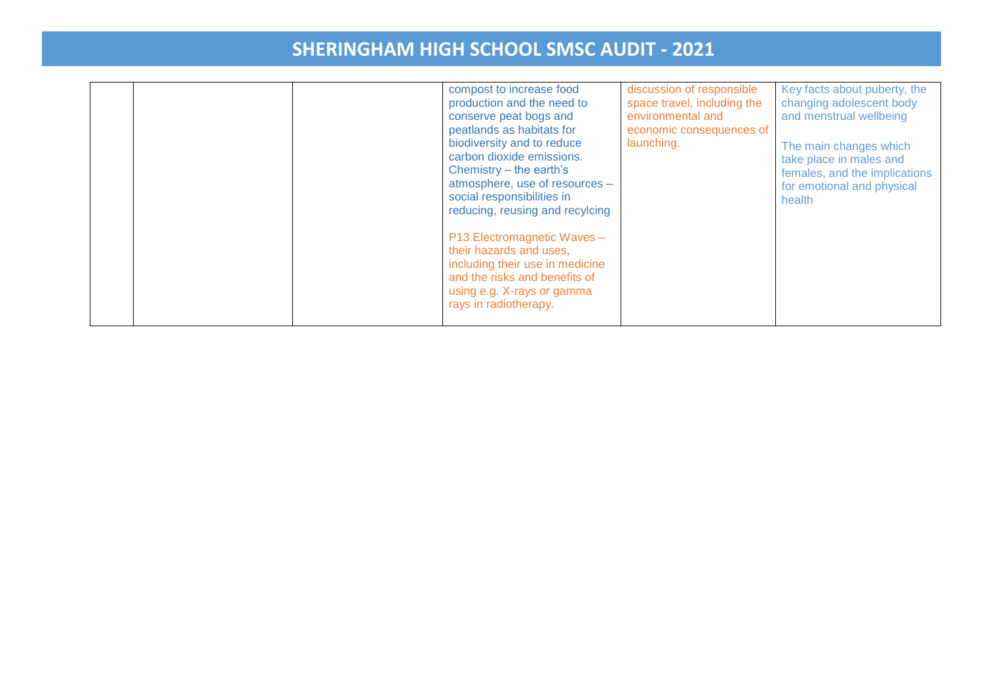|  |  |  | compost to increase food<br>production and the need to<br>conserve peat bogs and<br>peatlands as habitats for<br>biodiversity and to reduce<br>carbon dioxide emissions.<br>Chemistry – the earth's<br>atmosphere, use of resources -<br>social responsibilities in<br>reducing, reusing and recylcing<br>P13 Electromagnetic Waves -<br>their hazards and uses.<br>including their use in medicine<br>and the risks and benefits of<br>using e.g. X-rays or gamma<br>rays in radiotherapy. | discussion of responsible<br>space travel, including the<br>environmental and<br>economic consequences of<br>launching. | Key facts about puberty, the<br>changing adolescent body<br>and menstrual wellbeing<br>The main changes which<br>take place in males and<br>females, and the implications<br>for emotional and physical<br>health |
|--|--|--|---------------------------------------------------------------------------------------------------------------------------------------------------------------------------------------------------------------------------------------------------------------------------------------------------------------------------------------------------------------------------------------------------------------------------------------------------------------------------------------------|-------------------------------------------------------------------------------------------------------------------------|-------------------------------------------------------------------------------------------------------------------------------------------------------------------------------------------------------------------|
|--|--|--|---------------------------------------------------------------------------------------------------------------------------------------------------------------------------------------------------------------------------------------------------------------------------------------------------------------------------------------------------------------------------------------------------------------------------------------------------------------------------------------------|-------------------------------------------------------------------------------------------------------------------------|-------------------------------------------------------------------------------------------------------------------------------------------------------------------------------------------------------------------|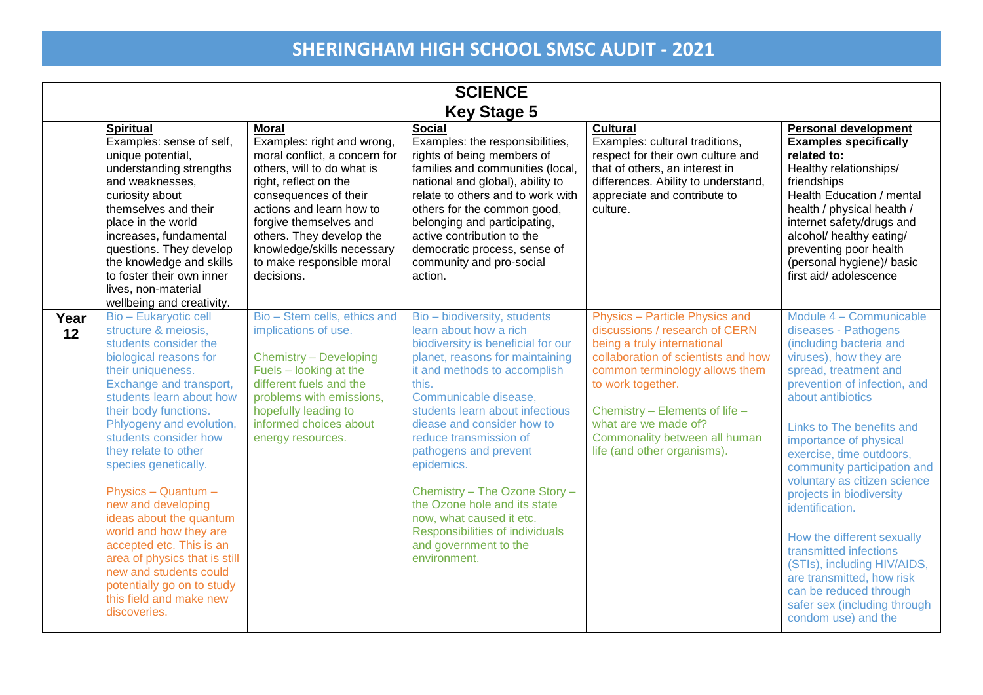|            | <b>SCIENCE</b>                                                                                                                                                                                                                                                                                                                                                                                                                                                                                                                                                                      |                                                                                                                                                                                                                                                                                                                        |                                                                                                                                                                                                                                                                                                                                                                                                                                                                                                              |                                                                                                                                                                                                                                                                                                                         |                                                                                                                                                                                                                                                                                                                                                                                                                                                                                                                                                                                          |  |  |  |
|------------|-------------------------------------------------------------------------------------------------------------------------------------------------------------------------------------------------------------------------------------------------------------------------------------------------------------------------------------------------------------------------------------------------------------------------------------------------------------------------------------------------------------------------------------------------------------------------------------|------------------------------------------------------------------------------------------------------------------------------------------------------------------------------------------------------------------------------------------------------------------------------------------------------------------------|--------------------------------------------------------------------------------------------------------------------------------------------------------------------------------------------------------------------------------------------------------------------------------------------------------------------------------------------------------------------------------------------------------------------------------------------------------------------------------------------------------------|-------------------------------------------------------------------------------------------------------------------------------------------------------------------------------------------------------------------------------------------------------------------------------------------------------------------------|------------------------------------------------------------------------------------------------------------------------------------------------------------------------------------------------------------------------------------------------------------------------------------------------------------------------------------------------------------------------------------------------------------------------------------------------------------------------------------------------------------------------------------------------------------------------------------------|--|--|--|
|            | <b>Key Stage 5</b>                                                                                                                                                                                                                                                                                                                                                                                                                                                                                                                                                                  |                                                                                                                                                                                                                                                                                                                        |                                                                                                                                                                                                                                                                                                                                                                                                                                                                                                              |                                                                                                                                                                                                                                                                                                                         |                                                                                                                                                                                                                                                                                                                                                                                                                                                                                                                                                                                          |  |  |  |
|            | <b>Spiritual</b><br>Examples: sense of self,<br>unique potential,<br>understanding strengths<br>and weaknesses,<br>curiosity about<br>themselves and their<br>place in the world<br>increases, fundamental<br>questions. They develop<br>the knowledge and skills<br>to foster their own inner<br>lives, non-material<br>wellbeing and creativity.                                                                                                                                                                                                                                  | <b>Moral</b><br>Examples: right and wrong,<br>moral conflict, a concern for<br>others, will to do what is<br>right, reflect on the<br>consequences of their<br>actions and learn how to<br>forgive themselves and<br>others. They develop the<br>knowledge/skills necessary<br>to make responsible moral<br>decisions. | <b>Social</b><br>Examples: the responsibilities,<br>rights of being members of<br>families and communities (local,<br>national and global), ability to<br>relate to others and to work with<br>others for the common good,<br>belonging and participating,<br>active contribution to the<br>democratic process, sense of<br>community and pro-social<br>action.                                                                                                                                              | Cultural<br>Examples: cultural traditions,<br>respect for their own culture and<br>that of others, an interest in<br>differences. Ability to understand,<br>appreciate and contribute to<br>culture.                                                                                                                    | <b>Personal development</b><br><b>Examples specifically</b><br>related to:<br>Healthy relationships/<br>friendships<br>Health Education / mental<br>health / physical health /<br>internet safety/drugs and<br>alcohol/ healthy eating/<br>preventing poor health<br>(personal hygiene)/ basic<br>first aid/adolescence                                                                                                                                                                                                                                                                  |  |  |  |
| Year<br>12 | <b>Bio - Eukaryotic cell</b><br>structure & meiosis.<br>students consider the<br>biological reasons for<br>their uniqueness.<br>Exchange and transport,<br>students learn about how<br>their body functions.<br>Phlyogeny and evolution,<br>students consider how<br>they relate to other<br>species genetically.<br>Physics - Quantum -<br>new and developing<br>ideas about the quantum<br>world and how they are<br>accepted etc. This is an<br>area of physics that is still<br>new and students could<br>potentially go on to study<br>this field and make new<br>discoveries. | Bio - Stem cells, ethics and<br>implications of use.<br><b>Chemistry - Developing</b><br>Fuels - looking at the<br>different fuels and the<br>problems with emissions,<br>hopefully leading to<br>informed choices about<br>energy resources.                                                                          | Bio - biodiversity, students<br>learn about how a rich<br>biodiversity is beneficial for our<br>planet, reasons for maintaining<br>it and methods to accomplish<br>this.<br>Communicable disease.<br>students learn about infectious<br>diease and consider how to<br>reduce transmission of<br>pathogens and prevent<br>epidemics.<br>Chemistry - The Ozone Story -<br>the Ozone hole and its state<br>now, what caused it etc.<br>Responsibilities of individuals<br>and government to the<br>environment. | Physics - Particle Physics and<br>discussions / research of CERN<br>being a truly international<br>collaboration of scientists and how<br>common terminology allows them<br>to work together.<br>Chemistry - Elements of life -<br>what are we made of?<br>Commonality between all human<br>life (and other organisms). | Module 4 - Communicable<br>diseases - Pathogens<br>(including bacteria and<br>viruses), how they are<br>spread, treatment and<br>prevention of infection, and<br>about antibiotics<br>Links to The benefits and<br>importance of physical<br>exercise, time outdoors,<br>community participation and<br>voluntary as citizen science<br>projects in biodiversity<br>identification.<br>How the different sexually<br>transmitted infections<br>(STIs), including HIV/AIDS,<br>are transmitted, how risk<br>can be reduced through<br>safer sex (including through<br>condom use) and the |  |  |  |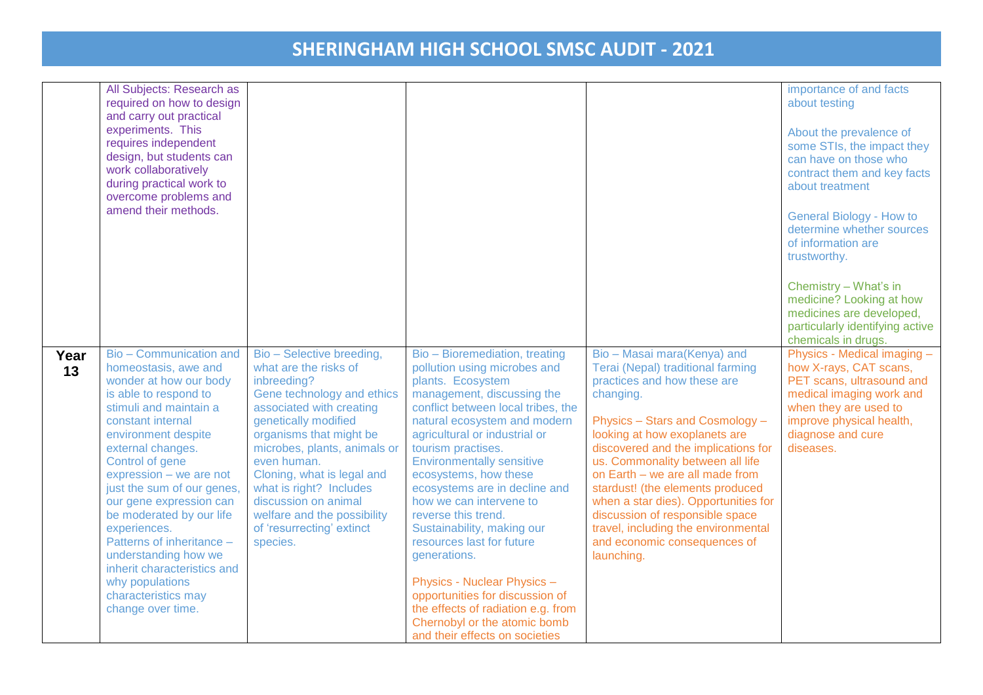|            | All Subjects: Research as<br>required on how to design<br>and carry out practical<br>experiments. This<br>requires independent<br>design, but students can<br>work collaboratively<br>during practical work to<br>overcome problems and<br>amend their methods.                                                                                                                                                                                                                                     |                                                                                                                                                                                                                                                                                                                                                                                        |                                                                                                                                                                                                                                                                                                                                                                                                                                                                                                                                                                                                                                                            |                                                                                                                                                                                                                                                                                                                                                                                                                                                                                                    | importance of and facts<br>about testing<br>About the prevalence of<br>some STIs, the impact they<br>can have on those who<br>contract them and key facts<br>about treatment<br><b>General Biology - How to</b><br>determine whether sources<br>of information are<br>trustworthy.<br>Chemistry - What's in<br>medicine? Looking at how<br>medicines are developed,<br>particularly identifying active<br>chemicals in drugs. |
|------------|-----------------------------------------------------------------------------------------------------------------------------------------------------------------------------------------------------------------------------------------------------------------------------------------------------------------------------------------------------------------------------------------------------------------------------------------------------------------------------------------------------|----------------------------------------------------------------------------------------------------------------------------------------------------------------------------------------------------------------------------------------------------------------------------------------------------------------------------------------------------------------------------------------|------------------------------------------------------------------------------------------------------------------------------------------------------------------------------------------------------------------------------------------------------------------------------------------------------------------------------------------------------------------------------------------------------------------------------------------------------------------------------------------------------------------------------------------------------------------------------------------------------------------------------------------------------------|----------------------------------------------------------------------------------------------------------------------------------------------------------------------------------------------------------------------------------------------------------------------------------------------------------------------------------------------------------------------------------------------------------------------------------------------------------------------------------------------------|-------------------------------------------------------------------------------------------------------------------------------------------------------------------------------------------------------------------------------------------------------------------------------------------------------------------------------------------------------------------------------------------------------------------------------|
| Year<br>13 | Bio - Communication and<br>homeostasis, awe and<br>wonder at how our body<br>is able to respond to<br>stimuli and maintain a<br>constant internal<br>environment despite<br>external changes.<br>Control of gene<br>expression - we are not<br>just the sum of our genes,<br>our gene expression can<br>be moderated by our life<br>experiences.<br>Patterns of inheritance -<br>understanding how we<br>inherit characteristics and<br>why populations<br>characteristics may<br>change over time. | Bio - Selective breeding,<br>what are the risks of<br>inbreeding?<br>Gene technology and ethics<br>associated with creating<br>genetically modified<br>organisms that might be<br>microbes, plants, animals or<br>even human.<br>Cloning, what is legal and<br>what is right? Includes<br>discussion on animal<br>welfare and the possibility<br>of 'resurrecting' extinct<br>species. | Bio - Bioremediation, treating<br>pollution using microbes and<br>plants. Ecosystem<br>management, discussing the<br>conflict between local tribes, the<br>natural ecosystem and modern<br>agricultural or industrial or<br>tourism practises.<br><b>Environmentally sensitive</b><br>ecosystems, how these<br>ecosystems are in decline and<br>how we can intervene to<br>reverse this trend.<br>Sustainability, making our<br>resources last for future<br>generations.<br><b>Physics - Nuclear Physics -</b><br>opportunities for discussion of<br>the effects of radiation e.g. from<br>Chernobyl or the atomic bomb<br>and their effects on societies | Bio - Masai mara(Kenya) and<br>Terai (Nepal) traditional farming<br>practices and how these are<br>changing.<br>Physics - Stars and Cosmology -<br>looking at how exoplanets are<br>discovered and the implications for<br>us. Commonality between all life<br>on Earth - we are all made from<br>stardust! (the elements produced<br>when a star dies). Opportunities for<br>discussion of responsible space<br>travel, including the environmental<br>and economic consequences of<br>launching. | Physics - Medical imaging -<br>how X-rays, CAT scans,<br>PET scans, ultrasound and<br>medical imaging work and<br>when they are used to<br>improve physical health,<br>diagnose and cure<br>diseases.                                                                                                                                                                                                                         |